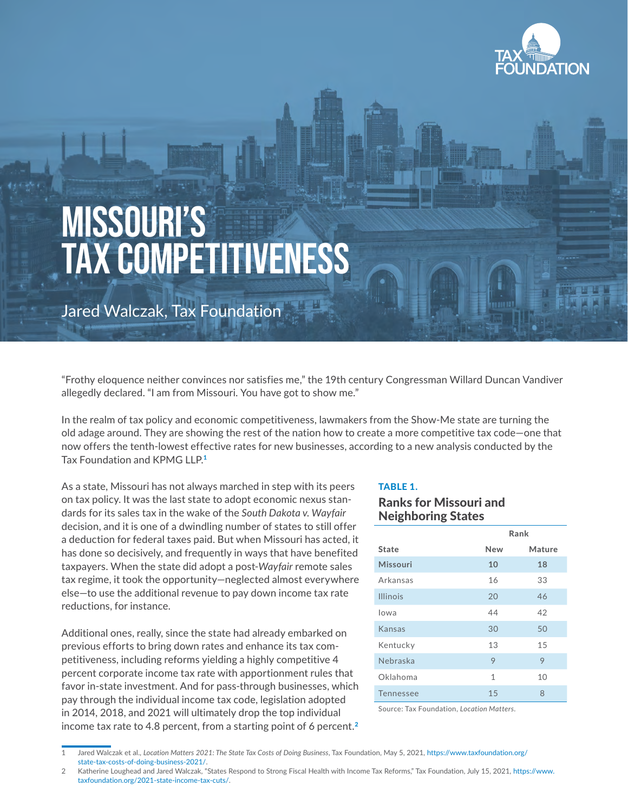

# **MISSOURI'S TAX COMPETITIVENESS**

Jared Walczak, Tax Foundation

"Frothy eloquence neither convinces nor satisfies me," the 19th century Congressman Willard Duncan Vandiver allegedly declared. "I am from Missouri. You have got to show me."

In the realm of tax policy and economic competitiveness, lawmakers from the Show-Me state are turning the old adage around. They are showing the rest of the nation how to create a more competitive tax code—one that now offers the tenth-lowest effective rates for new businesses, according to a new analysis conducted by the Tax Foundation and KPMG LLP.<sup>1</sup>

As a state, Missouri has not always marched in step with its peers on tax policy. It was the last state to adopt economic nexus standards for its sales tax in the wake of the *South Dakota v. Wayfair* decision, and it is one of a dwindling number of states to still offer a deduction for federal taxes paid. But when Missouri has acted, it has done so decisively, and frequently in ways that have benefited taxpayers. When the state did adopt a post-*Wayfair* remote sales tax regime, it took the opportunity—neglected almost everywhere else—to use the additional revenue to pay down income tax rate reductions, for instance.

Additional ones, really, since the state had already embarked on previous efforts to bring down rates and enhance its tax competitiveness, including reforms yielding a highly competitive 4 percent corporate income tax rate with apportionment rules that favor in-state investment. And for pass-through businesses, which pay through the individual income tax code, legislation adopted in 2014, 2018, and 2021 will ultimately drop the top individual income tax rate to 4.8 percent, from a starting point of 6 percent.<sup>2</sup>

#### TABLE 1.

### Ranks for Missouri and Neighboring States

|                 | Rank         |        |  |  |  |
|-----------------|--------------|--------|--|--|--|
| State           | New          | Mature |  |  |  |
| <b>Missouri</b> | 10           | 18     |  |  |  |
| Arkansas        | 16           | 33     |  |  |  |
| <b>Illinois</b> | 20           | 46     |  |  |  |
| lowa            | 44           | 42     |  |  |  |
| Kansas          | 30           | 50     |  |  |  |
| Kentucky        | 13           | 15     |  |  |  |
| Nebraska        | 9            | 9      |  |  |  |
| Oklahoma        | $\mathbf{1}$ | 10     |  |  |  |
| Tennessee       | 15           | 8      |  |  |  |

Source: Tax Foundation, *Location Matters*.

<sup>1</sup> Jared Walczak et al., *Location Matters 2021: The State Tax Costs of Doing Business*, Tax Foundation, May 5, 2021, [https://www.taxfoundation.org/](https://www.taxfoundation.org/state-tax-costs-of-doing-business-2021/) [state-tax-costs-of-doing-business-2021/.](https://www.taxfoundation.org/state-tax-costs-of-doing-business-2021/)

<sup>2</sup> Katherine Loughead and Jared Walczak, "States Respond to Strong Fiscal Health with Income Tax Reforms," Tax Foundation, July 15, 2021, [https://www.](https://www.taxfoundation.org/2021-state-income-tax-cuts/) [taxfoundation.org/2021-state-income-tax-cuts/](https://www.taxfoundation.org/2021-state-income-tax-cuts/).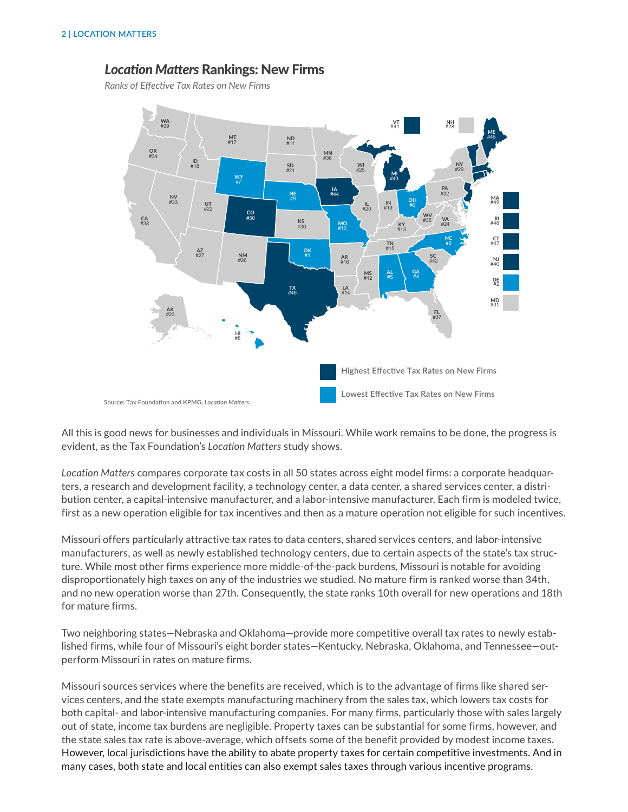# *Location Matters* Rankings: New Firms

*Ranks of Effective Tax Rates on New Firms*



All this is good news for businesses and individuals in Missouri. While work remains to be done, the progress is evident, as the Tax Foundation's *Location Matters* study shows.

*Location Matters* compares corporate tax costs in all 50 states across eight model firms: a corporate headquarters, a research and development facility, a technology center, a data center, a shared services center, a distribution center, a capital-intensive manufacturer, and a labor-intensive manufacturer. Each firm is modeled twice, first as a new operation eligible for tax incentives and then as a mature operation not eligible for such incentives.

Missouri offers particularly attractive tax rates to data centers, shared services centers, and labor-intensive manufacturers, as well as newly established technology centers, due to certain aspects of the state's tax structure. While most other firms experience more middle-of-the-pack burdens, Missouri is notable for avoiding disproportionately high taxes on any of the industries we studied. No mature firm is ranked worse than 34th, and no new operation worse than 27th. Consequently, the state ranks 10th overall for new operations and 18th for mature firms.

Two neighboring states—Nebraska and Oklahoma—provide more competitive overall tax rates to newly established firms, while four of Missouri's eight border states—Kentucky, Nebraska, Oklahoma, and Tennessee—outperform Missouri in rates on mature firms.

Missouri sources services where the benefits are received, which is to the advantage of firms like shared services centers, and the state exempts manufacturing machinery from the sales tax, which lowers tax costs for both capital- and labor-intensive manufacturing companies. For many firms, particularly those with sales largely out of state, income tax burdens are negligible. Property taxes can be substantial for some firms, however, and the state sales tax rate is above-average, which offsets some of the benefit provided by modest income taxes. However, local jurisdictions have the ability to abate property taxes for certain competitive investments. And in many cases, both state and local entities can also exempt sales taxes through various incentive programs.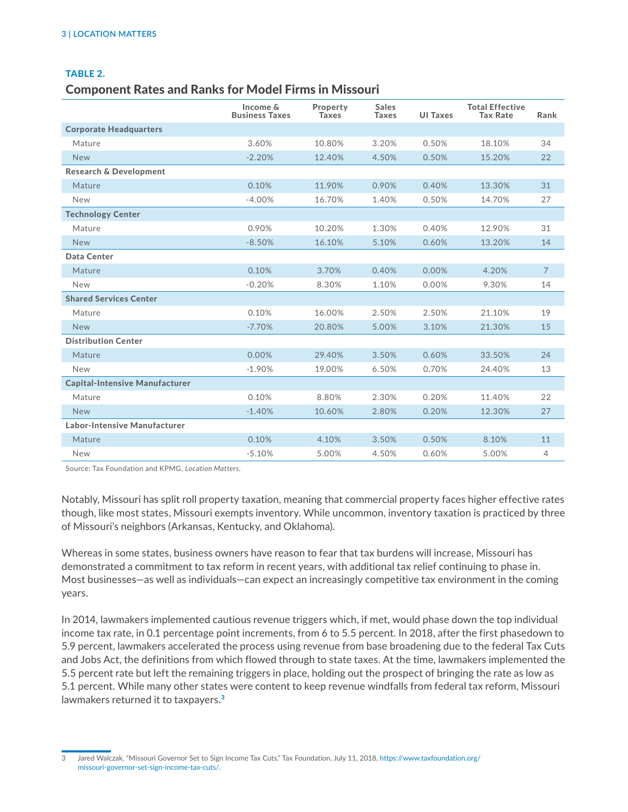#### TABLE 2.

## Component Rates and Ranks for Model Firms in Missouri

|                                       | Income &<br><b>Business Taxes</b> | Property<br><b>Taxes</b> | <b>Sales</b><br><b>Taxes</b> | <b>UI Taxes</b> | <b>Total Effective</b><br><b>Tax Rate</b> | Rank           |
|---------------------------------------|-----------------------------------|--------------------------|------------------------------|-----------------|-------------------------------------------|----------------|
| <b>Corporate Headquarters</b>         |                                   |                          |                              |                 |                                           |                |
| Mature                                | 3.60%                             | 10.80%                   | 3.20%                        | 0.50%           | 18.10%                                    | 34             |
| <b>New</b>                            | $-2.20%$                          | 12.40%                   | 4.50%                        | 0.50%           | 15.20%                                    | 22             |
| <b>Research &amp; Development</b>     |                                   |                          |                              |                 |                                           |                |
| Mature                                | 0.10%                             | 11.90%                   | 0.90%                        | 0.40%           | 13.30%                                    | 31             |
| <b>New</b>                            | $-4.00%$                          | 16.70%                   | 1.40%                        | 0.50%           | 14.70%                                    | 27             |
| <b>Technology Center</b>              |                                   |                          |                              |                 |                                           |                |
| Mature                                | 0.90%                             | 10.20%                   | 1.30%                        | 0.40%           | 12.90%                                    | 31             |
| <b>New</b>                            | $-8.50%$                          | 16.10%                   | 5.10%                        | 0.60%           | 13.20%                                    | 14             |
| Data Center                           |                                   |                          |                              |                 |                                           |                |
| Mature                                | 0.10%                             | 3.70%                    | 0.40%                        | 0.00%           | 4.20%                                     | $\overline{7}$ |
| <b>New</b>                            | $-0.20%$                          | 8.30%                    | 1.10%                        | 0.00%           | 9.30%                                     | 14             |
| <b>Shared Services Center</b>         |                                   |                          |                              |                 |                                           |                |
| Mature                                | 0.10%                             | 16.00%                   | 2.50%                        | 2.50%           | 21.10%                                    | 19             |
| <b>New</b>                            | $-7.70%$                          | 20.80%                   | 5.00%                        | 3.10%           | 21.30%                                    | 15             |
| <b>Distribution Center</b>            |                                   |                          |                              |                 |                                           |                |
| Mature                                | 0.00%                             | 29.40%                   | 3.50%                        | 0.60%           | 33.50%                                    | 24             |
| <b>New</b>                            | $-1.90%$                          | 19.00%                   | 6.50%                        | 0.70%           | 24.40%                                    | 13             |
| <b>Capital-Intensive Manufacturer</b> |                                   |                          |                              |                 |                                           |                |
| Mature                                | 0.10%                             | 8.80%                    | 2.30%                        | 0.20%           | 11.40%                                    | 22             |
| <b>New</b>                            | $-1.40%$                          | 10.60%                   | 2.80%                        | 0.20%           | 12.30%                                    | 27             |
| Labor-Intensive Manufacturer          |                                   |                          |                              |                 |                                           |                |
| Mature                                | 0.10%                             | 4.10%                    | 3.50%                        | 0.50%           | 8.10%                                     | 11             |
| <b>New</b>                            | $-5.10%$                          | 5.00%                    | 4.50%                        | 0.60%           | 5.00%                                     | 4              |

Source: Tax Foundation and KPMG, *Location Matters*.

Notably, Missouri has split roll property taxation, meaning that commercial property faces higher effective rates though, like most states, Missouri exempts inventory. While uncommon, inventory taxation is practiced by three of Missouri's neighbors (Arkansas, Kentucky, and Oklahoma).

Whereas in some states, business owners have reason to fear that tax burdens will increase, Missouri has demonstrated a commitment to tax reform in recent years, with additional tax relief continuing to phase in. Most businesses—as well as individuals—can expect an increasingly competitive tax environment in the coming years.

In 2014, lawmakers implemented cautious revenue triggers which, if met, would phase down the top individual income tax rate, in 0.1 percentage point increments, from 6 to 5.5 percent. In 2018, after the first phasedown to 5.9 percent, lawmakers accelerated the process using revenue from base broadening due to the federal Tax Cuts and Jobs Act, the definitions from which flowed through to state taxes. At the time, lawmakers implemented the 5.5 percent rate but left the remaining triggers in place, holding out the prospect of bringing the rate as low as 5.1 percent. While many other states were content to keep revenue windfalls from federal tax reform, Missouri lawmakers returned it to taxpayers.<sup>3</sup>

<sup>3</sup> Jared Walczak, "Missouri Governor Set to Sign Income Tax Cuts," Tax Foundation, July 11, 2018, [https://www.taxfoundation.org/](https://www.taxfoundation.org/missouri-governor-set-sign-income-tax-cuts/) [missouri-governor-set-sign-income-tax-cuts/.](https://www.taxfoundation.org/missouri-governor-set-sign-income-tax-cuts/)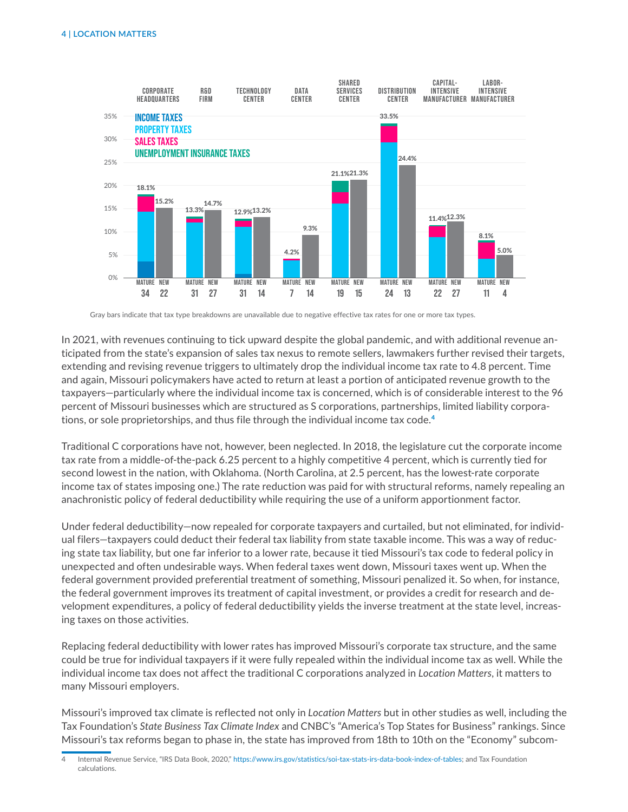

Gray bars indicate that tax type breakdowns are unavailable due to negative effective tax rates for one or more tax types.

In 2021, with revenues continuing to tick upward despite the global pandemic, and with additional revenue anticipated from the state's expansion of sales tax nexus to remote sellers, lawmakers further revised their targets, extending and revising revenue triggers to ultimately drop the individual income tax rate to 4.8 percent. Time and again, Missouri policymakers have acted to return at least a portion of anticipated revenue growth to the taxpayers—particularly where the individual income tax is concerned, which is of considerable interest to the 96 percent of Missouri businesses which are structured as S corporations, partnerships, limited liability corporations, or sole proprietorships, and thus file through the individual income tax code.<sup>4</sup>

Traditional C corporations have not, however, been neglected. In 2018, the legislature cut the corporate income tax rate from a middle-of-the-pack 6.25 percent to a highly competitive 4 percent, which is currently tied for second lowest in the nation, with Oklahoma. (North Carolina, at 2.5 percent, has the lowest-rate corporate income tax of states imposing one.) The rate reduction was paid for with structural reforms, namely repealing an anachronistic policy of federal deductibility while requiring the use of a uniform apportionment factor.

Under federal deductibility—now repealed for corporate taxpayers and curtailed, but not eliminated, for individual filers—taxpayers could deduct their federal tax liability from state taxable income. This was a way of reducing state tax liability, but one far inferior to a lower rate, because it tied Missouri's tax code to federal policy in unexpected and often undesirable ways. When federal taxes went down, Missouri taxes went up. When the federal government provided preferential treatment of something, Missouri penalized it. So when, for instance, the federal government improves its treatment of capital investment, or provides a credit for research and development expenditures, a policy of federal deductibility yields the inverse treatment at the state level, increasing taxes on those activities.

Replacing federal deductibility with lower rates has improved Missouri's corporate tax structure, and the same could be true for individual taxpayers if it were fully repealed within the individual income tax as well. While the individual income tax does not affect the traditional C corporations analyzed in *Location Matters*, it matters to many Missouri employers.

Missouri's improved tax climate is reflected not only in *Location Matters* but in other studies as well, including the Tax Foundation's *State Business Tax Climate Index* and CNBC's "America's Top States for Business" rankings. Since Missouri's tax reforms began to phase in, the state has improved from 18th to 10th on the "Economy" subcom-

<sup>4</sup> Internal Revenue Service, "IRS Data Book, 2020," <https://www.irs.gov/statistics/soi-tax-stats-irs-data-book-index-of-tables>; and Tax Foundation calculations.